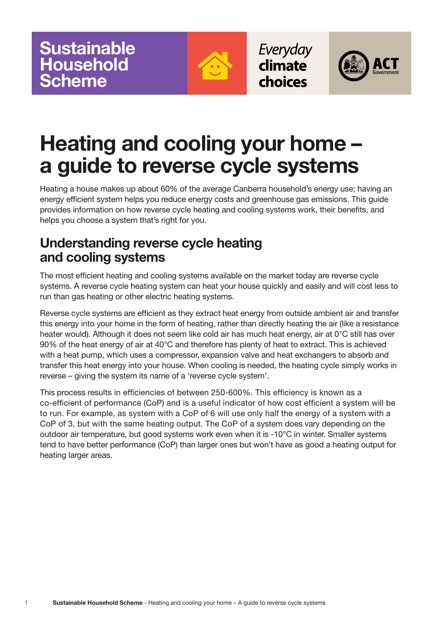

Everyday climate choices



# **Heating and cooling your home – a guide to reverse cycle systems**

Heating a house makes up about 60% of the average Canberra household's energy use; having an energy efficient system helps you reduce energy costs and greenhouse gas emissions. This guide provides information on how reverse cycle heating and cooling systems work, their benefits, and helps you choose a system that's right for you.

### **Understanding reverse cycle heating and cooling systems**

The most efficient heating and cooling systems available on the market today are reverse cycle systems. A reverse cycle heating system can heat your house quickly and easily and will cost less to run than gas heating or other electric heating systems.

Reverse cycle systems are efficient as they extract heat energy from outside ambient air and transfer this energy into your home in the form of heating, rather than directly heating the air (like a resistance heater would). Although it does not seem like cold air has much heat energy, air at 0°C still has over 90% of the heat energy of air at 40°C and therefore has plenty of heat to extract. This is achieved with a heat pump, which uses a compressor, expansion valve and heat exchangers to absorb and transfer this heat energy into your house. When cooling is needed, the heating cycle simply works in reverse – giving the system its name of a 'reverse cycle system'.

This process results in efficiencies of between 250-600%. This efficiency is known as a co-efficient of performance (CoP) and is a useful indicator of how cost efficient a system will be to run. For example, as system with a CoP of 6 will use only half the energy of a system with a CoP of 3, but with the same heating output. The CoP of a system does vary depending on the outdoor air temperature, but good systems work even when it is -10°C in winter. Smaller systems tend to have better performance (CoP) than larger ones but won't have as good a heating output for heating larger areas.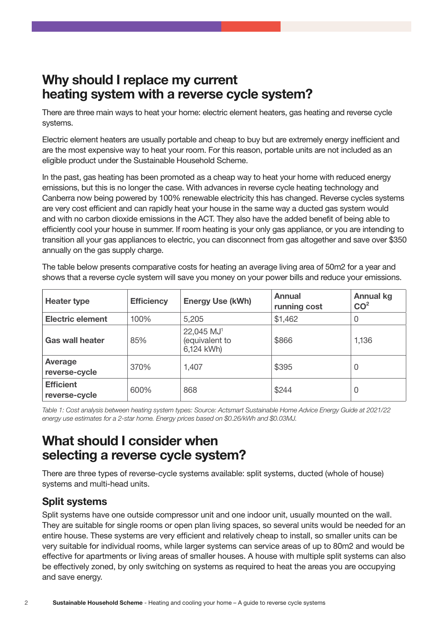### **Why should I replace my current heating system with a reverse cycle system?**

There are three main ways to heat your home: electric element heaters, gas heating and reverse cycle systems.

Electric element heaters are usually portable and cheap to buy but are extremely energy inefficient and are the most expensive way to heat your room. For this reason, portable units are not included as an eligible product under the Sustainable Household Scheme.

In the past, gas heating has been promoted as a cheap way to heat your home with reduced energy emissions, but this is no longer the case. With advances in reverse cycle heating technology and Canberra now being powered by 100% renewable electricity this has changed. Reverse cycles systems are very cost efficient and can rapidly heat your house in the same way a ducted gas system would and with no carbon dioxide emissions in the ACT. They also have the added benefit of being able to efficiently cool your house in summer. If room heating is your only gas appliance, or you are intending to transition all your gas appliances to electric, you can disconnect from gas altogether and save over \$350 annually on the gas supply charge.

The table below presents comparative costs for heating an average living area of 50m2 for a year and shows that a reverse cycle system will save you money on your power bills and reduce your emissions.

| <b>Heater type</b>                | <b>Efficiency</b> | <b>Energy Use (kWh)</b>                                | <b>Annual</b><br>running cost | <b>Annual kg</b><br>CO <sup>2</sup> |
|-----------------------------------|-------------------|--------------------------------------------------------|-------------------------------|-------------------------------------|
| <b>Electric element</b>           | 100%              | 5,205                                                  | \$1,462                       | 0                                   |
| <b>Gas wall heater</b>            | 85%               | 22,045 MJ <sup>1</sup><br>(equivalent to<br>6,124 kWh) | \$866                         | 1,136                               |
| Average<br>reverse-cycle          | 370%              | 1,407                                                  | \$395                         | 0                                   |
| <b>Efficient</b><br>reverse-cycle | 600%              | 868                                                    | \$244                         | 0                                   |

*Table 1: Cost analysis between heating system types: Source: Actsmart Sustainable Home Advice Energy Guide at 2021/22 energy use estimates for a 2-star home. Energy prices based on \$0.26/kWh and \$0.03MJ.*

### **What should I consider when selecting a reverse cycle system?**

There are three types of reverse-cycle systems available: split systems, ducted (whole of house) systems and multi-head units.

### **Split systems**

Split systems have one outside compressor unit and one indoor unit, usually mounted on the wall. They are suitable for single rooms or open plan living spaces, so several units would be needed for an entire house. These systems are very efficient and relatively cheap to install, so smaller units can be very suitable for individual rooms, while larger systems can service areas of up to 80m2 and would be effective for apartments or living areas of smaller houses. A house with multiple split systems can also be effectively zoned, by only switching on systems as required to heat the areas you are occupying and save energy.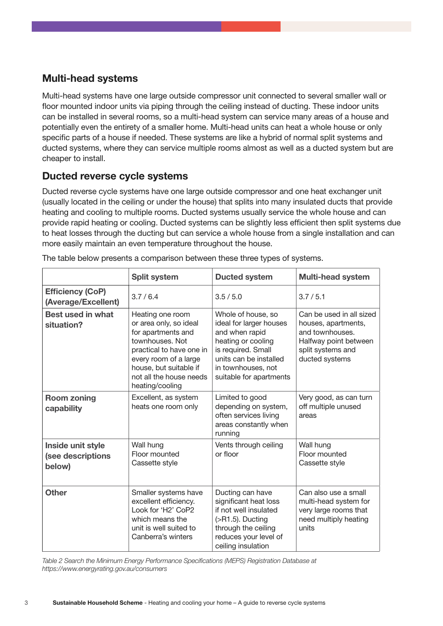### **Multi-head systems**

Multi-head systems have one large outside compressor unit connected to several smaller wall or floor mounted indoor units via piping through the ceiling instead of ducting. These indoor units can be installed in several rooms, so a multi-head system can service many areas of a house and potentially even the entirety of a smaller home. Multi-head units can heat a whole house or only specific parts of a house if needed. These systems are like a hybrid of normal split systems and ducted systems, where they can service multiple rooms almost as well as a ducted system but are cheaper to install.

#### **Ducted reverse cycle systems**

Ducted reverse cycle systems have one large outside compressor and one heat exchanger unit (usually located in the ceiling or under the house) that splits into many insulated ducts that provide heating and cooling to multiple rooms. Ducted systems usually service the whole house and can provide rapid heating or cooling. Ducted systems can be slightly less efficient then split systems due to heat losses through the ducting but can service a whole house from a single installation and can more easily maintain an even temperature throughout the house.

|                                                  | <b>Split system</b>                                                                                                                                                                                              | <b>Ducted system</b>                                                                                                                                                                   | <b>Multi-head system</b>                                                                                                           |
|--------------------------------------------------|------------------------------------------------------------------------------------------------------------------------------------------------------------------------------------------------------------------|----------------------------------------------------------------------------------------------------------------------------------------------------------------------------------------|------------------------------------------------------------------------------------------------------------------------------------|
| <b>Efficiency (CoP)</b><br>(Average/Excellent)   | 3.7/6.4                                                                                                                                                                                                          | 3.5/5.0                                                                                                                                                                                | 3.7/5.1                                                                                                                            |
| <b>Best used in what</b><br>situation?           | Heating one room<br>or area only, so ideal<br>for apartments and<br>townhouses. Not<br>practical to have one in<br>every room of a large<br>house, but suitable if<br>not all the house needs<br>heating/cooling | Whole of house, so<br>ideal for larger houses<br>and when rapid<br>heating or cooling<br>is required. Small<br>units can be installed<br>in townhouses, not<br>suitable for apartments | Can be used in all sized<br>houses, apartments,<br>and townhouses.<br>Halfway point between<br>split systems and<br>ducted systems |
| <b>Room zoning</b><br>capability                 | Excellent, as system<br>heats one room only                                                                                                                                                                      | Limited to good<br>depending on system,<br>often services living<br>areas constantly when<br>running                                                                                   | Very good, as can turn<br>off multiple unused<br>areas                                                                             |
| Inside unit style<br>(see descriptions<br>below) | Wall hung<br>Floor mounted<br>Cassette style                                                                                                                                                                     | Vents through ceiling<br>or floor                                                                                                                                                      | Wall hung<br>Floor mounted<br>Cassette style                                                                                       |
| <b>Other</b>                                     | Smaller systems have<br>excellent efficiency.<br>Look for 'H2' CoP2<br>which means the<br>unit is well suited to<br>Canberra's winters                                                                           | Ducting can have<br>significant heat loss<br>if not well insulated<br>$( >R1.5)$ . Ducting<br>through the ceiling<br>reduces your level of<br>ceiling insulation                       | Can also use a small<br>multi-head system for<br>very large rooms that<br>need multiply heating<br>units                           |

The table below presents a comparison between these three types of systems.

*Table 2 Search the Minimum Energy Performance Specifications (MEPS) Registration Database at https://www.energyrating.gov.au/consumers*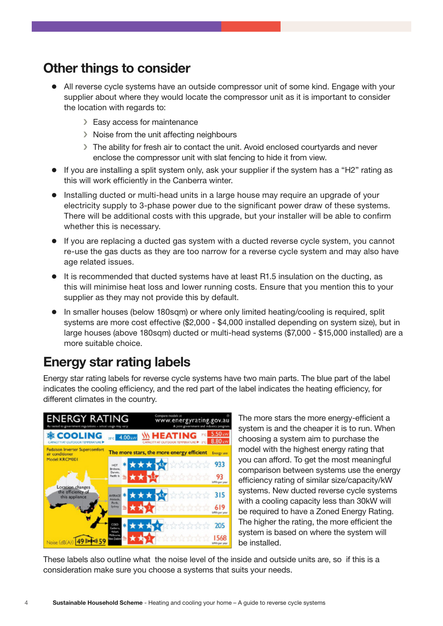### **Other things to consider**

- All reverse cycle systems have an outside compressor unit of some kind. Engage with your supplier about where they would locate the compressor unit as it is important to consider the location with regards to:
	- › Easy access for maintenance
	- › Noise from the unit affecting neighbours
	- › The ability for fresh air to contact the unit. Avoid enclosed courtyards and never enclose the compressor unit with slat fencing to hide it from view.
- If you are installing a split system only, ask your supplier if the system has a "H2" rating as this will work efficiently in the Canberra winter.
- Installing ducted or multi-head units in a large house may require an upgrade of your electricity supply to 3-phase power due to the significant power draw of these systems. There will be additional costs with this upgrade, but your installer will be able to confirm whether this is necessary.
- $\bullet$  If you are replacing a ducted gas system with a ducted reverse cycle system, you cannot re-use the gas ducts as they are too narrow for a reverse cycle system and may also have age related issues.
- It is recommended that ducted systems have at least R1.5 insulation on the ducting, as this will minimise heat loss and lower running costs. Ensure that you mention this to your supplier as they may not provide this by default.
- In smaller houses (below 180sqm) or where only limited heating/cooling is required, split systems are more cost effective (\$2,000 - \$4,000 installed depending on system size), but in large houses (above 180sqm) ducted or multi-head systems (\$7,000 - \$15,000 installed) are a more suitable choice.

### **Energy star rating labels**

Energy star rating labels for reverse cycle systems have two main parts. The blue part of the label indicates the cooling efficiency, and the red part of the label indicates the heating efficiency, for different climates in the country.



The more stars the more energy-efficient a system is and the cheaper it is to run. When choosing a system aim to purchase the model with the highest energy rating that you can afford. To get the most meaningful comparison between systems use the energy efficiency rating of similar size/capacity/kW systems. New ducted reverse cycle systems with a cooling capacity less than 30kW will be required to have a Zoned Energy Rating. The higher the rating, the more efficient the system is based on where the system will be installed.

These labels also outline what the noise level of the inside and outside units are, so if this is a consideration make sure you choose a systems that suits your needs.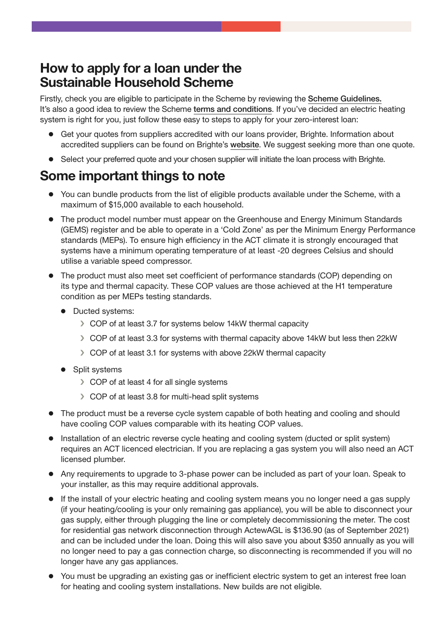### **How to apply for a loan under the Sustainable Household Scheme**

Firstly, check you are eligible to participate in the Scheme by reviewing the [Scheme Guidelines](https://www.climatechoices.act.gov.au/__data/assets/pdf_file/0010/1861570/Sustainable-Household-Scheme-Guidelines-For-Participants.pdf). It's also a good idea to review the Scheme [terms and conditions](https://www.climatechoices.act.gov.au/__data/assets/pdf_file/0011/1861571/Sustainable-Household-Scheme-Terms-and-Conditions.pdf). If you've decided an electric heating system is right for you, just follow these easy to steps to apply for your zero-interest loan:

- Get your quotes from suppliers accredited with our loans provider, Brighte. Information about accredited suppliers can be found on Brighte's [website](https://brighte.com.au/homeowners/act-sustainable-household-scheme/). We suggest seeking more than one quote.
- Select your preferred quote and your chosen supplier will initiate the loan process with Brighte.

## **Some important things to note**

- You can bundle products from the list of eligible products available under the Scheme, with a maximum of \$15,000 available to each household.
- The product model number must appear on the Greenhouse and Energy Minimum Standards (GEMS) register and be able to operate in a 'Cold Zone' as per the Minimum Energy Performance standards (MEPs). To ensure high efficiency in the ACT climate it is strongly encouraged that systems have a minimum operating temperature of at least -20 degrees Celsius and should utilise a variable speed compressor.
- The product must also meet set coefficient of performance standards (COP) depending on its type and thermal capacity. These COP values are those achieved at the H1 temperature condition as per MEPs testing standards.
	- Ducted systems:
		- › COP of at least 3.7 for systems below 14kW thermal capacity
		- › COP of at least 3.3 for systems with thermal capacity above 14kW but less then 22kW
		- › COP of at least 3.1 for systems with above 22kW thermal capacity
	- Split systems
		- › COP of at least 4 for all single systems
		- › COP of at least 3.8 for multi-head split systems
- The product must be a reverse cycle system capable of both heating and cooling and should have cooling COP values comparable with its heating COP values.
- Installation of an electric reverse cycle heating and cooling system (ducted or split system) requires an ACT licenced electrician. If you are replacing a gas system you will also need an ACT licensed plumber.
- Any requirements to upgrade to 3-phase power can be included as part of your loan. Speak to your installer, as this may require additional approvals.
- If the install of your electric heating and cooling system means you no longer need a gas supply (if your heating/cooling is your only remaining gas appliance), you will be able to disconnect your gas supply, either through plugging the line or completely decommissioning the meter. The cost for residential gas network disconnection through ActewAGL is \$136.90 (as of September 2021) and can be included under the loan. Doing this will also save you about \$350 annually as you will no longer need to pay a gas connection charge, so disconnecting is recommended if you will no longer have any gas appliances.
- You must be upgrading an existing gas or inefficient electric system to get an interest free loan for heating and cooling system installations. New builds are not eligible.